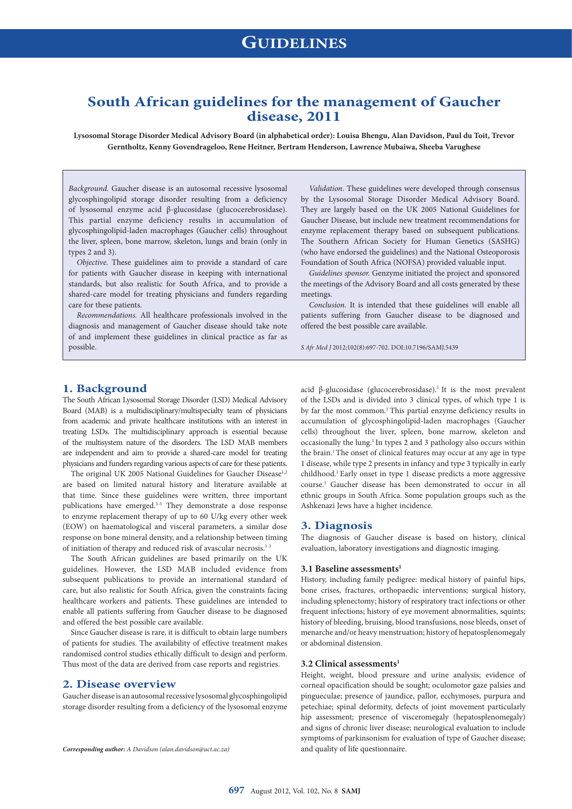# **South African guidelines for the management of Gaucher disease, 2011**

**Lysosomal Storage Disorder Medical Advisory Board (in alphabetical order): Louisa Bhengu, Alan Davidson, Paul du Toit, Trevor Gerntholtz, Kenny Govendrageloo, Rene Heitner, Bertram Henderson, Lawrence Mubaiwa, Sheeba Varughese**

*Background.* Gaucher disease is an autosomal recessive lysosomal glycosphingolipid storage disorder resulting from a deficiency of lysosomal enzyme acid β-glucosidase (glucocerebrosidase). This partial enzyme deficiency results in accumulation of glycosphingolipid-laden macrophages (Gaucher cells) throughout the liver, spleen, bone marrow, skeleton, lungs and brain (only in types 2 and 3).

*Objective.* These guidelines aim to provide a standard of care for patients with Gaucher disease in keeping with international standards, but also realistic for South Africa, and to provide a shared-care model for treating physicians and funders regarding care for these patients.

*Recommendations.* All healthcare professionals involved in the diagnosis and management of Gaucher disease should take note of and implement these guidelines in clinical practice as far as possible.

*Validation.* These guidelines were developed through consensus by the Lysosomal Storage Disorder Medical Advisory Board. They are largely based on the UK 2005 National Guidelines for Gaucher Disease, but include new treatment recommendations for enzyme replacement therapy based on subsequent publications. The Southern African Society for Human Genetics (SASHG) (who have endorsed the guidelines) and the National Osteoporosis Foundation of South Africa (NOFSA) provided valuable input.

*Guidelines sponsor.* Genzyme initiated the project and sponsored the meetings of the Advisory Board and all costs generated by these meetings.

*Conclusion.* It is intended that these guidelines will enable all patients suffering from Gaucher disease to be diagnosed and offered the best possible care available.

*S Afr Med J* 2012;102(8):697-702. DOI:10.7196/SAMJ.5439

### **1. Background**

The South African Lysosomal Storage Disorder (LSD) Medical Advisory Board (MAB) is a multidisciplinary/multispecialty team of physicians from academic and private healthcare institutions with an interest in treating LSDs. The multidisciplinary approach is essential because of the multisystem nature of the disorders. The LSD MAB members are independent and aim to provide a shared-care model for treating physicians and funders regarding various aspects of care for these patients.

The original UK 2005 National Guidelines for Gaucher Disease<sup>1,2</sup> are based on limited natural history and literature available at that time. Since these guidelines were written, three important publications have emerged.3-5 They demonstrate a dose response to enzyme replacement therapy of up to 60 U/kg every other week (EOW) on haematological and visceral parameters, a similar dose response on bone mineral density, and a relationship between timing of initiation of therapy and reduced risk of avascular necrosis.1-3

The South African guidelines are based primarily on the UK guidelines. However, the LSD MAB included evidence from subsequent publications to provide an international standard of care, but also realistic for South Africa, given the constraints facing healthcare workers and patients. These guidelines are intended to enable all patients suffering from Gaucher disease to be diagnosed and offered the best possible care available.

Since Gaucher disease is rare, it is difficult to obtain large numbers of patients for studies. The availability of effective treatment makes randomised control studies ethically difficult to design and perform. Thus most of the data are derived from case reports and registries.

### **2. Disease overview**

Gaucher disease is an autosomal recessive lysosomal glycosphingolipid storage disorder resulting from a deficiency of the lysosomal enzyme

*Corresponding author: A Davidson (alan.davidson@uct.ac.za)*

acid β-glucosidase (glucocerebrosidase).<sup>1</sup> It is the most prevalent of the LSDs and is divided into 3 clinical types, of which type 1 is by far the most common.1 This partial enzyme deficiency results in accumulation of glycosphingolipid-laden macrophages (Gaucher cells) throughout the liver, spleen, bone marrow, skeleton and occasionally the lung.1 In types 2 and 3 pathology also occurs within the brain.<sup>1</sup> The onset of clinical features may occur at any age in type 1 disease, while type 2 presents in infancy and type 3 typically in early childhood.1 Early onset in type 1 disease predicts a more aggressive course.1 Gaucher disease has been demonstrated to occur in all ethnic groups in South Africa. Some population groups such as the Ashkenazi Jews have a higher incidence.

#### **3. Diagnosis**

The diagnosis of Gaucher disease is based on history, clinical evaluation, laboratory investigations and diagnostic imaging.

#### **3.1 Baseline assessments1**

History, including family pedigree: medical history of painful hips, bone crises, fractures, orthopaedic interventions; surgical history, including splenectomy; history of respiratory tract infections or other frequent infections; history of eye movement abnormalities, squints; history of bleeding, bruising, blood transfusions, nose bleeds, onset of menarche and/or heavy menstruation; history of hepatosplenomegaly or abdominal distension.

#### **3.2 Clinical assessments1**

Height, weight, blood pressure and urine analysis; evidence of corneal opacification should be sought; oculomotor gaze palsies and pingueculae; presence of jaundice, pallor, ecchymoses, purpura and petechiae; spinal deformity, defects of joint movement particularly hip assessment; presence of visceromegaly (hepatosplenomegaly) and signs of chronic liver disease; neurological evaluation to include symptoms of parkinsonism for evaluation of type of Gaucher disease; and quality of life questionnaire.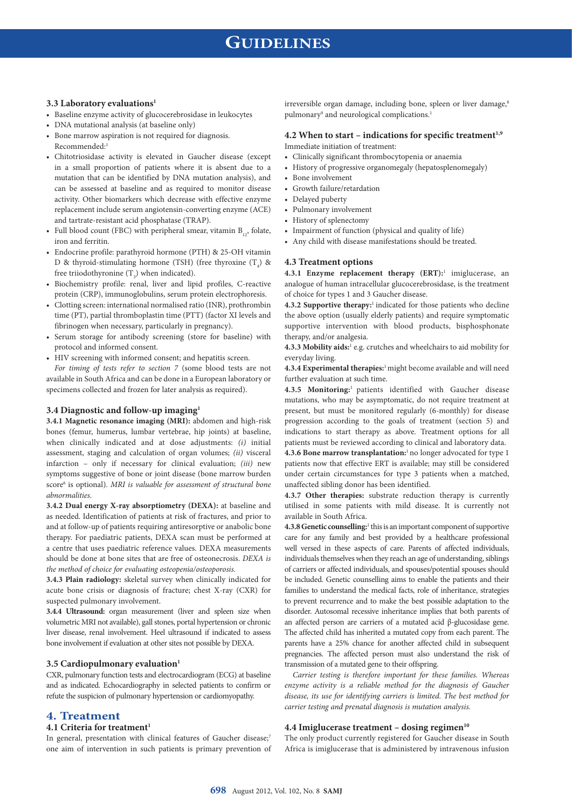#### **3.3 Laboratory evaluations1**

- • Baseline enzyme activity of glucocerebrosidase in leukocytes
- • DNA mutational analysis (at baseline only)
- Bone marrow aspiration is not required for diagnosis. Recommended:1
- • Chitotriosidase activity is elevated in Gaucher disease (except in a small proportion of patients where it is absent due to a mutation that can be identified by DNA mutation analysis), and can be assessed at baseline and as required to monitor disease activity. Other biomarkers which decrease with effective enzyme replacement include serum angiotensin-converting enzyme (ACE) and tartrate-resistant acid phosphatase (TRAP).
- Full blood count (FBC) with peripheral smear, vitamin  $B_{12}$ , folate, iron and ferritin.
- • Endocrine profile: parathyroid hormone (PTH) & 25-OH vitamin D & thyroid-stimulating hormone (TSH) (free thyroxine  $(T_4)$  & free triiodothyronine  $(T_{3})$  when indicated).
- • Biochemistry profile: renal, liver and lipid profiles, C-reactive protein (CRP), immunoglobulins, serum protein electrophoresis.
- Clotting screen: international normalised ratio (INR), prothrombin time (PT), partial thromboplastin time (PTT) (factor XI levels and fibrinogen when necessary, particularly in pregnancy).
- • Serum storage for antibody screening (store for baseline) with protocol and informed consent.
- HIV screening with informed consent; and hepatitis screen.

*For timing of tests refer to section 7* (some blood tests are not available in South Africa and can be done in a European laboratory or specimens collected and frozen for later analysis as required).

#### **3.4 Diagnostic and follow-up imaging1**

**3.4.1 Magnetic resonance imaging (MRI):** abdomen and high-risk bones (femur, humerus, lumbar vertebrae, hip joints) at baseline, when clinically indicated and at dose adjustments: *(i)* initial assessment, staging and calculation of organ volumes; *(ii)* visceral infarction – only if necessary for clinical evaluation; *(iii)* new symptoms suggestive of bone or joint disease (bone marrow burden score<sup>6</sup> is optional). MRI is valuable for assessment of structural bone *abnormalities*.

**3.4.2 Dual energy X-ray absorptiometry (DEXA):** at baseline and as needed. Identification of patients at risk of fractures, and prior to and at follow-up of patients requiring antiresorptive or anabolic bone therapy. For paediatric patients, DEXA scan must be performed at a centre that uses paediatric reference values. DEXA measurements should be done at bone sites that are free of osteonecrosis. *DEXA is the method of choice for evaluating osteopenia/osteoporosis.*

**3.4.3 Plain radiology:** skeletal survey when clinically indicated for acute bone crisis or diagnosis of fracture; chest X-ray (CXR) for suspected pulmonary involvement.

**3.4.4 Ultrasound:** organ measurement (liver and spleen size when volumetric MRI not available), gall stones, portal hypertension or chronic liver disease, renal involvement. Heel ultrasound if indicated to assess bone involvement if evaluation at other sites not possible by DEXA.

#### **3.5 Cardiopulmonary evaluation1**

CXR, pulmonary function tests and electrocardiogram (ECG) at baseline and as indicated. Echocardiography in selected patients to confirm or refute the suspicion of pulmonary hypertension or cardiomyopathy.

#### **4. Treatment**

#### **4.1 Criteria for treatment<sup>1</sup>**

In general, presentation with clinical features of Gaucher disease;7 one aim of intervention in such patients is primary prevention of irreversible organ damage, including bone, spleen or liver damage,<sup>8</sup> pulmonary<sup>9</sup> and neurological complications.<sup>1</sup>

#### 4.2 When to start – indications for specific treatment<sup>1,9</sup> Immediate initiation of treatment:

• Clinically significant thrombocytopenia or anaemia

- History of progressive organomegaly (hepatosplenomegaly)
- Bone involvement
- Growth failure/retardation
- Delayed puberty
	- Pulmonary involvement
	- History of splenectomy
	- Impairment of function (physical and quality of life)
	- Any child with disease manifestations should be treated.

#### **4.3 Treatment options**

**4.3.1 Enzyme replacement therapy (ERT):**<sup>1</sup> imiglucerase, an analogue of human intracellular glucocerebrosidase, is the treatment of choice for types 1 and 3 Gaucher disease.

**4.3.2 Supportive therapy:**1 indicated for those patients who decline the above option (usually elderly patients) and require symptomatic supportive intervention with blood products, bisphosphonate therapy, and/or analgesia.

**4.3.3 Mobility aids:**<sup>1</sup> e.g. crutches and wheelchairs to aid mobility for everyday living.

**4.3.4 Experimental therapies:**1 might become available and will need further evaluation at such time.

**4.3.5 Monitoring:**1 patients identified with Gaucher disease mutations, who may be asymptomatic, do not require treatment at present, but must be monitored regularly (6-monthly) for disease progression according to the goals of treatment (section 5) and indications to start therapy as above. Treatment options for all patients must be reviewed according to clinical and laboratory data.

**4.3.6 Bone marrow transplantation:**1 no longer advocated for type 1 patients now that effective ERT is available; may still be considered under certain circumstances for type 3 patients when a matched, unaffected sibling donor has been identified.

**4.3.7 Other therapies:** substrate reduction therapy is currently utilised in some patients with mild disease. It is currently not available in South Africa.

**4.3.8 Genetic counselling:**<sup>1</sup> this is an important component of supportive care for any family and best provided by a healthcare professional well versed in these aspects of care. Parents of affected individuals, individuals themselves when they reach an age of understanding, siblings of carriers or affected individuals, and spouses/potential spouses should be included. Genetic counselling aims to enable the patients and their families to understand the medical facts, role of inheritance, strategies to prevent recurrence and to make the best possible adaptation to the disorder. Autosomal recessive inheritance implies that both parents of an affected person are carriers of a mutated acid β-glucosidase gene. The affected child has inherited a mutated copy from each parent. The parents have a 25% chance for another affected child in subsequent pregnancies. The affected person must also understand the risk of transmission of a mutated gene to their offspring.

*Carrier testing is therefore important for these families. Whereas*  enzyme activity is a reliable method for the diagnosis of Gaucher *disease, its use for identifying carriers is limited. The best method for carrier testing and prenatal diagnosis is mutation analysis.* 

#### **4.4 Imiglucerase treatment – dosing regimen10**

The only product currently registered for Gaucher disease in South Africa is imiglucerase that is administered by intravenous infusion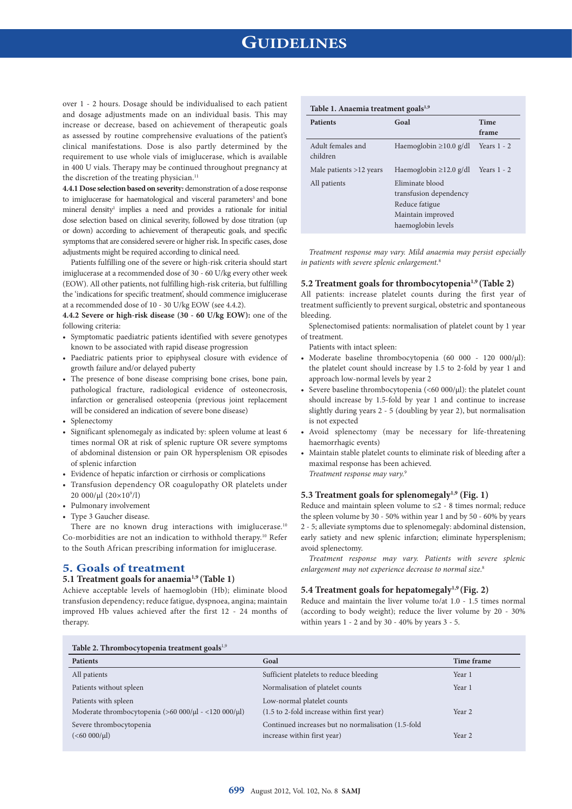# **GUIDELINES**

over 1 - 2 hours. Dosage should be individualised to each patient and dosage adjustments made on an individual basis. This may increase or decrease, based on achievement of therapeutic goals as assessed by routine comprehensive evaluations of the patient's clinical manifestations. Dose is also partly determined by the requirement to use whole vials of imiglucerase, which is available in 400 U vials. Therapy may be continued throughout pregnancy at the discretion of the treating physician.<sup>11</sup>

**4.4.1 Dose selection based on severity:** demonstration of a dose response to imiglucerase for haematological and visceral parameters<sup>3</sup> and bone mineral density<sup>1</sup> implies a need and provides a rationale for initial dose selection based on clinical severity, followed by dose titration (up or down) according to achievement of therapeutic goals, and specific symptoms that are considered severe or higher risk. In specific cases, dose adjustments might be required according to clinical need.

Patients fulfilling one of the severe or high-risk criteria should start imiglucerase at a recommended dose of 30 - 60 U/kg every other week (EOW). All other patients, not fulfilling high-risk criteria, but fulfilling the 'indications for specific treatment', should commence imiglucerase at a recommended dose of 10 - 30 U/kg EOW (see 4.4.2).

**4.4.2 Severe or high-risk disease (30 - 60 U/kg EOW):** one of the following criteria:

- • Symptomatic paediatric patients identified with severe genotypes known to be associated with rapid disease progression
- • Paediatric patients prior to epiphyseal closure with evidence of growth failure and/or delayed puberty
- • The presence of bone disease comprising bone crises, bone pain, pathological fracture, radiological evidence of osteonecrosis, infarction or generalised osteopenia (previous joint replacement will be considered an indication of severe bone disease)
- Splenectomy
- • Significant splenomegaly as indicated by: spleen volume at least 6 times normal OR at risk of splenic rupture OR severe symptoms of abdominal distension or pain OR hypersplenism OR episodes of splenic infarction
- • Evidence of hepatic infarction or cirrhosis or complications
- • Transfusion dependency OR coagulopathy OR platelets under 20 000/µl (20×109 /l)
- • Pulmonary involvement
- Type 3 Gaucher disease.

There are no known drug interactions with imiglucerase.<sup>10</sup> Co-morbidities are not an indication to withhold therapy.10 Refer to the South African prescribing information for imiglucerase.

# **5. Goals of treatment**

## **5.1 Treatment goals for anaemia1,9 (Table 1)**

Achieve acceptable levels of haemoglobin (Hb); eliminate blood transfusion dependency; reduce fatigue, dyspnoea, angina; maintain improved Hb values achieved after the first 12 - 24 months of therapy.

| <b>Patients</b>               | Goal                         | <b>Time</b>   |
|-------------------------------|------------------------------|---------------|
|                               |                              | frame         |
| Adult females and<br>children | Haemoglobin $\geq 10.0$ g/dl | Years $1 - 2$ |
| Male patients >12 years       | Haemoglobin $\geq$ 12.0 g/dl | Years $1 - 2$ |
| All patients                  | Eliminate blood              |               |
|                               | transfusion dependency       |               |
|                               | Reduce fatigue               |               |
|                               | Maintain improved            |               |
|                               | haemoglobin levels           |               |

*Treatment response may vary. Mild anaemia may persist especially in patients with severe splenic enlargement.*<sup>8</sup>

#### **5.2 Treatment goals for thrombocytopenia1,9 (Table 2)**

All patients: increase platelet counts during the first year of treatment sufficiently to prevent surgical, obstetric and spontaneous bleeding.

Splenectomised patients: normalisation of platelet count by 1 year of treatment.

Patients with intact spleen:

- Moderate baseline thrombocytopenia (60 000 120 000/µl): the platelet count should increase by 1.5 to 2-fold by year 1 and approach low-normal levels by year 2
- Severe baseline thrombocytopenia (<60 000/µl): the platelet count should increase by 1.5-fold by year 1 and continue to increase slightly during years 2 - 5 (doubling by year 2), but normalisation is not expected
- Avoid splenectomy (may be necessary for life-threatening haemorrhagic events)
- Maintain stable platelet counts to eliminate risk of bleeding after a maximal response has been achieved.

*Treatment response may vary.*<sup>9</sup>

#### **5.3 Treatment goals for splenomegaly1,9 (Fig. 1)**

Reduce and maintain spleen volume to  $\leq$  2 - 8 times normal; reduce the spleen volume by 30 - 50% within year 1 and by 50 - 60% by years 2 - 5; alleviate symptoms due to splenomegaly: abdominal distension, early satiety and new splenic infarction; eliminate hypersplenism; avoid splenectomy.

*Treatment response may vary. Patients with severe splenic enlargement may not experience decrease to normal size*. 8

#### **5.4 Treatment goals for hepatomegaly1,9 (Fig. 2)**

Reduce and maintain the liver volume to/at 1.0 - 1.5 times normal (according to body weight); reduce the liver volume by 20 - 30% within years 1 - 2 and by 30 - 40% by years 3 - 5.

| Table 2. Thrombocytopenia treatment goals <sup>1,9</sup>        |                                                    |            |
|-----------------------------------------------------------------|----------------------------------------------------|------------|
| <b>Patients</b>                                                 | Goal                                               | Time frame |
| All patients                                                    | Sufficient platelets to reduce bleeding            | Year 1     |
| Patients without spleen                                         | Normalisation of platelet counts                   | Year 1     |
| Patients with spleen                                            | Low-normal platelet counts                         |            |
| Moderate thrombocytopenia $(>60 000/\mu$ l - <120 000/ $\mu$ l) | (1.5 to 2-fold increase within first year)         | Year 2     |
| Severe thrombocytopenia                                         | Continued increases but no normalisation (1.5-fold |            |
| $(<60 000/\mu l)$                                               | increase within first year)                        | Year 2     |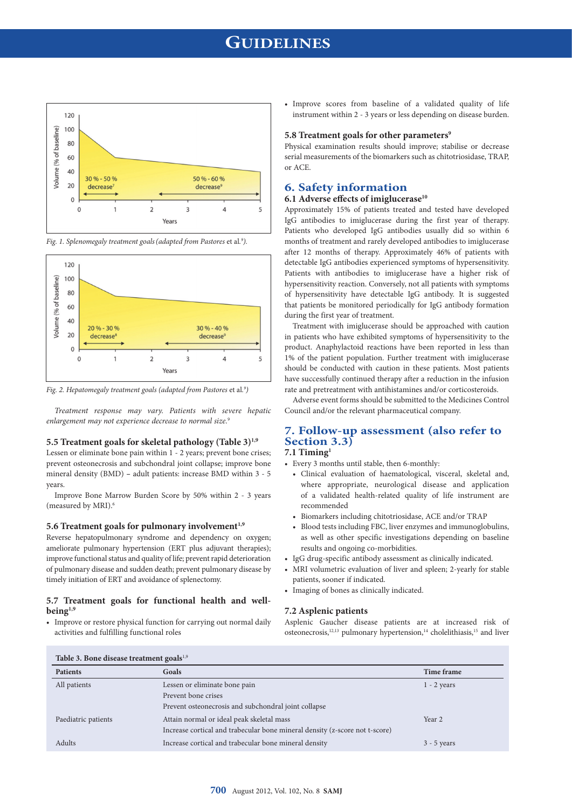



*Fig. 1. Splenomegaly treatment goals(adapted from Pastores* et al*. 9 ).*

*Treatment response may vary. Patients with severe hepatic enlargement may not experience decrease to normal size.*<sup>9</sup>

# **5.5 Treatment goals for skeletal pathology (Table 3)1,9**

Lessen or eliminate bone pain within 1 - 2 years; prevent bone crises; prevent osteonecrosis and subchondral joint collapse; improve bone mineral density (BMD) *–* adult patients: increase BMD within 3 - 5 years.

Improve Bone Marrow Burden Score by 50% within 2 - 3 years (measured by MRI).6

#### 5.6 Treatment goals for pulmonary involvement<sup>1,9</sup>

Reverse hepatopulmonary syndrome and dependency on oxygen; ameliorate pulmonary hypertension (ERT plus adjuvant therapies); improve functional status and quality of life; prevent rapid deterioration of pulmonary disease and sudden death; prevent pulmonary disease by timely initiation of ERT and avoidance of splenectomy.

### **5.7 Treatment goals for functional health and wellbeing1,9**

• Improve or restore physical function for carrying out normal daily activities and fulfilling functional roles

• Improve scores from baseline of a validated quality of life instrument within 2 - 3 years or less depending on disease burden.

#### **5.8 Treatment goals for other parameters9**

Physical examination results should improve; stabilise or decrease serial measurements of the biomarkers such as chitotriosidase, TRAP, or ACE.

# **6. Safety information**

# **6.1 Adverse effects of imiglucerase10**

Approximately 15% of patients treated and tested have developed IgG antibodies to imiglucerase during the first year of therapy. Patients who developed IgG antibodies usually did so within 6 months of treatment and rarely developed antibodies to imiglucerase after 12 months of therapy. Approximately 46% of patients with detectable IgG antibodies experienced symptoms of hypersensitivity. Patients with antibodies to imiglucerase have a higher risk of hypersensitivity reaction. Conversely, not all patients with symptoms of hypersensitivity have detectable IgG antibody. It is suggested that patients be monitored periodically for IgG antibody formation during the first year of treatment.

Treatment with imiglucerase should be approached with caution in patients who have exhibited symptoms of hypersensitivity to the product. Anaphylactoid reactions have been reported in less than 1% of the patient population. Further treatment with imiglucerase should be conducted with caution in these patients. Most patients have successfully continued therapy after a reduction in the infusion rate and pretreatment with antihistamines and/or corticosteroids.

Adverse event forms should be submitted to the Medicines Control Council and/or the relevant pharmaceutical company.

# **7. Follow-up assessment (also refer to Section 3.3)**

# **7.1 Timing1**

- • Every 3 months until stable, then 6-monthly:
	- Clinical evaluation of haematological, visceral, skeletal and, where appropriate, neurological disease and application of a validated health-related quality of life instrument are recommended
	- • Biomarkers including chitotriosidase, ACE and/or TRAP
	- Blood tests including FBC, liver enzymes and immunoglobulins, as well as other specific investigations depending on baseline results and ongoing co-morbidities.
- • IgG drug-specific antibody assessment as clinically indicated.
- MRI volumetric evaluation of liver and spleen; 2-yearly for stable patients, sooner if indicated.
- • Imaging of bones as clinically indicated.

#### **7.2 Asplenic patients**

Asplenic Gaucher disease patients are at increased risk of osteonecrosis,<sup>12,13</sup> pulmonary hypertension,<sup>14</sup> cholelithiasis,<sup>15</sup> and liver

| Table 3. Bone disease treatment goals $1,9$ |                                                                             |               |  |
|---------------------------------------------|-----------------------------------------------------------------------------|---------------|--|
| <b>Patients</b>                             | Goals                                                                       | Time frame    |  |
| All patients                                | Lessen or eliminate bone pain                                               | $1 - 2$ years |  |
|                                             | Prevent bone crises                                                         |               |  |
|                                             | Prevent osteonecrosis and subchondral joint collapse                        |               |  |
| Paediatric patients                         | Attain normal or ideal peak skeletal mass                                   | Year 2        |  |
|                                             | Increase cortical and trabecular bone mineral density (z-score not t-score) |               |  |
| Adults                                      | Increase cortical and trabecular bone mineral density                       | $3 - 5$ years |  |

Fig. 2. Hepatomegaly treatment goals (adapted from Pastores et al.<sup>9</sup>)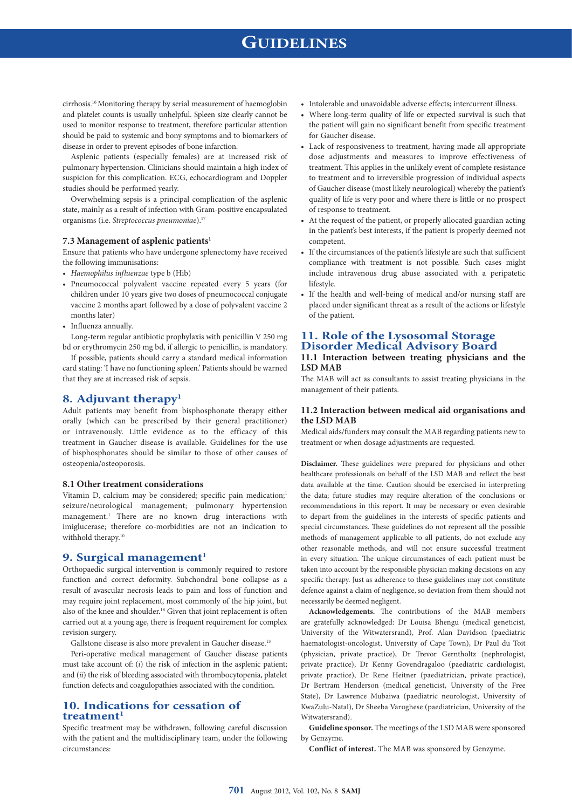# **GUIDELINES**

cirrhosis.16 Monitoring therapy by serial measurement of haemoglobin and platelet counts is usually unhelpful. Spleen size clearly cannot be used to monitor response to treatment, therefore particular attention should be paid to systemic and bony symptoms and to biomarkers of disease in order to prevent episodes of bone infarction.

Asplenic patients (especially females) are at increased risk of pulmonary hypertension. Clinicians should maintain a high index of suspicion for this complication. ECG, echocardiogram and Doppler studies should be performed yearly.

Overwhelming sepsis is a principal complication of the asplenic state, mainly as a result of infection with Gram-positive encapsulated organisms (i.e. *Streptococcus pneumoniae*).17

#### **7.3 Management of asplenic patients1**

Ensure that patients who have undergone splenectomy have received the following immunisations:

- *• Haemophilus influenzae* type b (Hib)
- • Pneumococcal polyvalent vaccine repeated every 5 years (for children under 10 years give two doses of pneumococcal conjugate vaccine 2 months apart followed by a dose of polyvalent vaccine 2 months later)
- • Influenza annually.

Long-term regular antibiotic prophylaxis with penicillin V 250 mg bd or erythromycin 250 mg bd, if allergic to penicillin, is mandatory.

If possible, patients should carry a standard medical information card stating: 'I have no functioning spleen.' Patients should be warned that they are at increased risk of sepsis.

# **8. Adjuvant therapy1**

Adult patients may benefit from bisphosphonate therapy either orally (which can be prescribed by their general practitioner) or intravenously. Little evidence as to the efficacy of this treatment in Gaucher disease is available. Guidelines for the use of bisphosphonates should be similar to those of other causes of osteopenia/osteoporosis.

#### **8.1 Other treatment considerations**

Vitamin D, calcium may be considered; specific pain medication;<sup>1</sup> seizure/neurological management; pulmonary hypertension management.1 There are no known drug interactions with imiglucerase; therefore co-morbidities are not an indication to withhold therapy.<sup>10</sup>

# **9. Surgical management**

Orthopaedic surgical intervention is commonly required to restore function and correct deformity. Subchondral bone collapse as a result of avascular necrosis leads to pain and loss of function and may require joint replacement, most commonly of the hip joint, but also of the knee and shoulder.<sup>18</sup> Given that joint replacement is often carried out at a young age, there is frequent requirement for complex revision surgery.

Gallstone disease is also more prevalent in Gaucher disease.<sup>13</sup>

Peri-operative medical management of Gaucher disease patients must take account of: (*i*) the risk of infection in the asplenic patient; and (*ii*) the risk of bleeding associated with thrombocytopenia, platelet function defects and coagulopathies associated with the condition.

# **10. Indications for cessation of treatment1**

Specific treatment may be withdrawn, following careful discussion with the patient and the multidisciplinary team, under the following circumstances:

- • Intolerable and unavoidable adverse effects; intercurrent illness.
- Where long-term quality of life or expected survival is such that the patient will gain no significant benefit from specific treatment for Gaucher disease.
- Lack of responsiveness to treatment, having made all appropriate dose adjustments and measures to improve effectiveness of treatment. This applies in the unlikely event of complete resistance to treatment and to irreversible progression of individual aspects of Gaucher disease (most likely neurological) whereby the patient's quality of life is very poor and where there is little or no prospect of response to treatment.
- At the request of the patient, or properly allocated guardian acting in the patient's best interests, if the patient is properly deemed not competent.
- If the circumstances of the patient's lifestyle are such that sufficient compliance with treatment is not possible. Such cases might include intravenous drug abuse associated with a peripatetic lifestyle.
- • If the health and well-being of medical and/or nursing staff are placed under significant threat as a result of the actions or lifestyle of the patient.

## **11. Role of the Lysosomal Storage Disorder Medical Advisory Board 11.1 Interaction between treating physicians and the LSD MAB**

The MAB will act as consultants to assist treating physicians in the management of their patients.

# **11.2 Interaction between medical aid organisations and the LSD MAB**

Medical aids/funders may consult the MAB regarding patients new to treatment or when dosage adjustments are requested.

**Disclaimer.** These guidelines were prepared for physicians and other healthcare professionals on behalf of the LSD MAB and reflect the best data available at the time. Caution should be exercised in interpreting the data; future studies may require alteration of the conclusions or recommendations in this report. It may be necessary or even desirable to depart from the guidelines in the interests of specific patients and special circumstances. These guidelines do not represent all the possible methods of management applicable to all patients, do not exclude any other reasonable methods, and will not ensure successful treatment in every situation. The unique circumstances of each patient must be taken into account by the responsible physician making decisions on any specific therapy. Just as adherence to these guidelines may not constitute defence against a claim of negligence, so deviation from them should not necessarily be deemed negligent.

**Acknowledgements.** The contributions of the MAB members are gratefully acknowledged: Dr Louisa Bhengu (medical geneticist, University of the Witwatersrand), Prof. Alan Davidson (paediatric haematologist-oncologist, University of Cape Town), Dr Paul du Toit (physician, private practice), Dr Trevor Gerntholtz (nephrologist, private practice), Dr Kenny Govendragaloo (paediatric cardiologist, private practice), Dr Rene Heitner (paediatrician, private practice), Dr Bertram Henderson (medical geneticist, University of the Free State), Dr Lawrence Mubaiwa (paediatric neurologist, University of KwaZulu-Natal), Dr Sheeba Varughese (paediatrician, University of the Witwatersrand).

**Guideline sponsor.** The meetings of the LSD MAB were sponsored by Genzyme.

**Conflict of interest.** The MAB was sponsored by Genzyme.